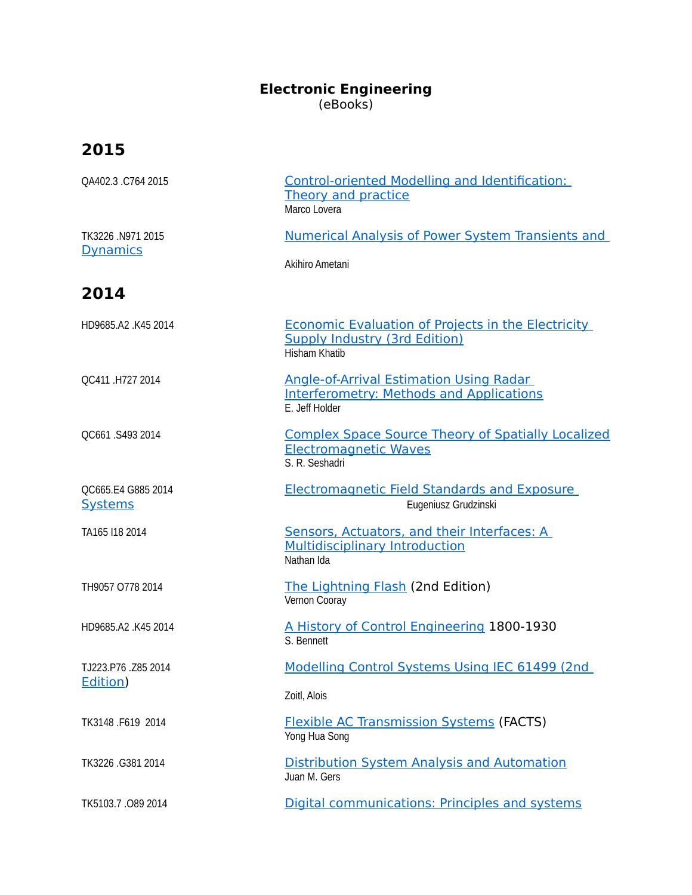# **Electronic Engineering**

(eBooks)

| QA402.3.C764 2015                    | Control-oriented Modelling and Identification:<br>Theory and practice<br>Marco Lovera                                     |
|--------------------------------------|---------------------------------------------------------------------------------------------------------------------------|
| TK3226 .N971 2015<br><b>Dynamics</b> | <b>Numerical Analysis of Power System Transients and</b>                                                                  |
|                                      | Akihiro Ametani                                                                                                           |
| 2014                                 |                                                                                                                           |
| HD9685.A2 .K45 2014                  | <b>Economic Evaluation of Projects in the Electricity</b><br><b>Supply Industry (3rd Edition)</b><br><b>Hisham Khatib</b> |
| QC411 .H727 2014                     | Angle-of-Arrival Estimation Using Radar<br><b>Interferometry: Methods and Applications</b><br>E. Jeff Holder              |
| QC661.S493 2014                      | <b>Complex Space Source Theory of Spatially Localized</b><br><b>Electromagnetic Waves</b><br>S. R. Seshadri               |
| QC665.E4 G885 2014<br><b>Systems</b> | <b>Electromagnetic Field Standards and Exposure</b><br>Eugeniusz Grudzinski                                               |
| TA165 I18 2014                       | Sensors, Actuators, and their Interfaces: A<br><b>Multidisciplinary Introduction</b><br>Nathan Ida                        |
| TH9057 O778 2014                     | The Lightning Flash (2nd Edition)<br>Vernon Cooray                                                                        |
| HD9685.A2 .K45 2014                  | A History of Control Engineering 1800-1930<br>S. Bennett                                                                  |
| TJ223.P76 .Z85 2014<br>Edition)      | Modelling Control Systems Using IEC 61499 (2nd                                                                            |
|                                      | Zoitl, Alois                                                                                                              |
| TK3148 F619 2014                     | <b>Flexible AC Transmission Systems (FACTS)</b><br>Yong Hua Song                                                          |
| TK3226.G3812014                      | <b>Distribution System Analysis and Automation</b><br>Juan M. Gers                                                        |
| TK5103.7.089 2014                    | Digital communications: Principles and systems                                                                            |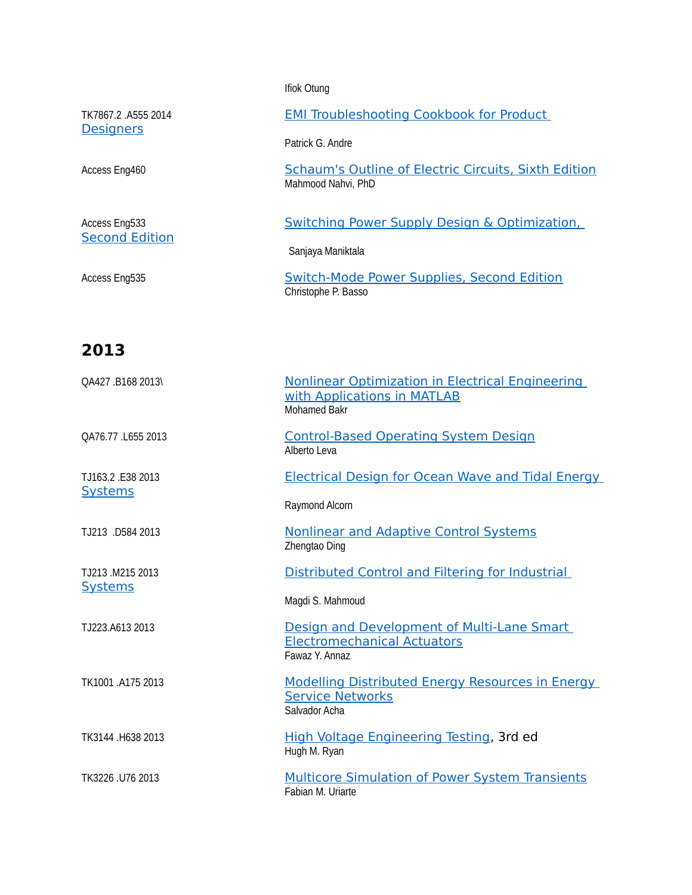|                                         | Ifiok Otung                                                                |
|-----------------------------------------|----------------------------------------------------------------------------|
| TK7867.2 .A555 2014<br><b>Designers</b> | <b>EMI Troubleshooting Cookbook for Product</b>                            |
|                                         | Patrick G. Andre                                                           |
| Access Eng460                           | Schaum's Outline of Electric Circuits, Sixth Edition<br>Mahmood Nahvi, PhD |
| Access Eng533<br><b>Second Edition</b>  | <b>Switching Power Supply Design &amp; Optimization,</b>                   |
|                                         | Sanjaya Maniktala                                                          |
| Access Eng535                           | <b>Switch-Mode Power Supplies, Second Edition</b><br>Christophe P. Basso   |

| QA427 .B168 2013\                   | <b>Nonlinear Optimization in Electrical Engineering</b><br>with Applications in MATLAB<br><b>Mohamed Bakr</b> |
|-------------------------------------|---------------------------------------------------------------------------------------------------------------|
| QA76.77 .L655 2013                  | <b>Control-Based Operating System Design</b><br>Alberto Leva                                                  |
| TJ163.2 .E38 2013<br><b>Systems</b> | <b>Electrical Design for Ocean Wave and Tidal Energy</b>                                                      |
|                                     | Raymond Alcorn                                                                                                |
| TJ213 .D584 2013                    | <b>Nonlinear and Adaptive Control Systems</b><br>Zhengtao Ding                                                |
| TJ213 M215 2013<br><b>Systems</b>   | Distributed Control and Filtering for Industrial                                                              |
|                                     | Magdi S. Mahmoud                                                                                              |
| TJ223.A613 2013                     | Design and Development of Multi-Lane Smart<br><b>Electromechanical Actuators</b><br>Fawaz Y. Annaz            |
| TK1001 .A175 2013                   | <b>Modelling Distributed Energy Resources in Energy</b><br><b>Service Networks</b><br>Salvador Acha           |
| TK3144 H638 2013                    | High Voltage Engineering Testing, 3rd ed<br>Hugh M. Ryan                                                      |
| TK3226 U76 2013                     | <b>Multicore Simulation of Power System Transients</b><br>Fabian M. Uriarte                                   |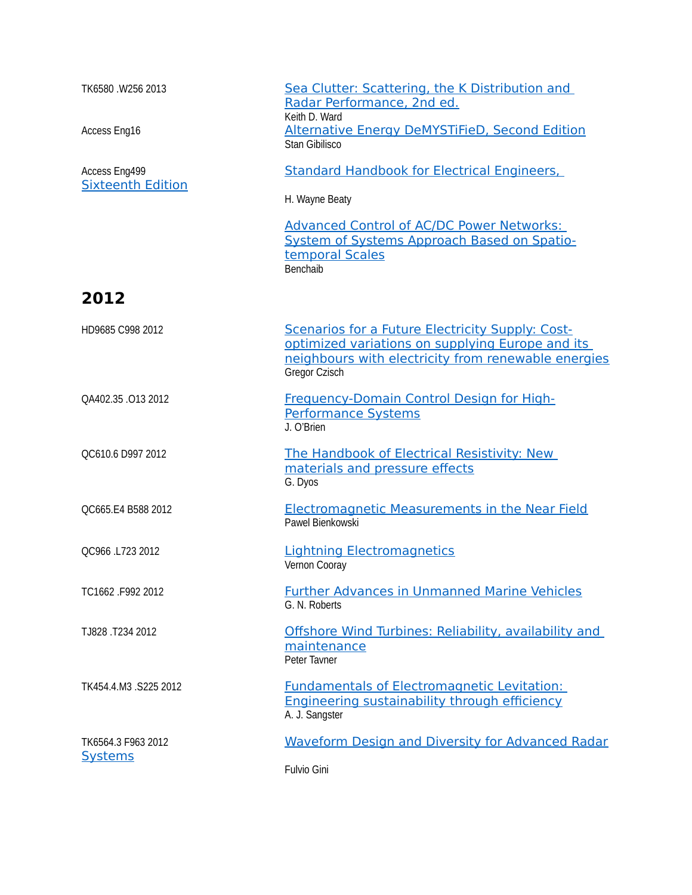| TK6580 W256 2013                          | Sea Clutter: Scattering, the K Distribution and<br>Radar Performance, 2nd ed.<br>Keith D. Ward                                                                                      |
|-------------------------------------------|-------------------------------------------------------------------------------------------------------------------------------------------------------------------------------------|
| Access Eng16                              | <b>Alternative Energy DeMYSTiFieD, Second Edition</b><br>Stan Gibilisco                                                                                                             |
| Access Eng499<br><b>Sixteenth Edition</b> | <b>Standard Handbook for Electrical Engineers,</b><br>H. Wayne Beaty                                                                                                                |
|                                           | <b>Advanced Control of AC/DC Power Networks:</b><br><b>System of Systems Approach Based on Spatio-</b><br>temporal Scales<br><b>Benchaib</b>                                        |
| 2012                                      |                                                                                                                                                                                     |
| HD9685 C998 2012                          | <b>Scenarios for a Future Electricity Supply: Cost-</b><br>optimized variations on supplying Europe and its<br>neighbours with electricity from renewable energies<br>Gregor Czisch |
| QA402.35.0132012                          | <b>Frequency-Domain Control Design for High-</b><br><b>Performance Systems</b><br>J. O'Brien                                                                                        |
| QC610.6 D997 2012                         | <b>The Handbook of Electrical Resistivity: New</b><br>materials and pressure effects<br>G. Dyos                                                                                     |
| QC665.E4 B588 2012                        | <b>Electromagnetic Measurements in the Near Field</b><br>Pawel Bienkowski                                                                                                           |
| QC966 .L723 2012                          | <b>Lightning Electromagnetics</b><br>Vernon Cooray                                                                                                                                  |
| TC1662 .F992 2012                         | <b>Further Advances in Unmanned Marine Vehicles</b><br>G. N. Roberts                                                                                                                |
| TJ828.T234 2012                           | Offshore Wind Turbines: Reliability, availability and<br>maintenance<br>Peter Tavner                                                                                                |
| TK454.4.M3 .S225 2012                     | <b>Fundamentals of Electromagnetic Levitation:</b><br><b>Engineering sustainability through efficiency</b><br>A. J. Sangster                                                        |
| TK6564.3 F963 2012<br><b>Systems</b>      | <b>Waveform Design and Diversity for Advanced Radar</b><br>Fulvio Gini                                                                                                              |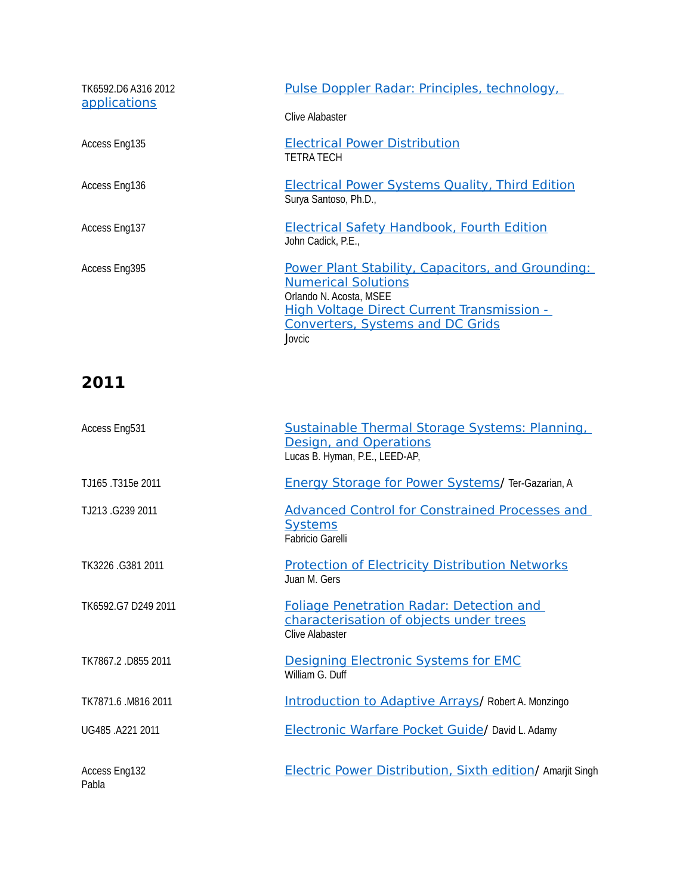| TK6592.D6 A316 2012<br>applications | Pulse Doppler Radar: Principles, technology,<br>Clive Alabaster                                                                                                                                               |
|-------------------------------------|---------------------------------------------------------------------------------------------------------------------------------------------------------------------------------------------------------------|
| Access Eng135                       | <b>Electrical Power Distribution</b><br><b>TETRA TECH</b>                                                                                                                                                     |
| Access Eng136                       | <b>Electrical Power Systems Quality, Third Edition</b><br>Surya Santoso, Ph.D.,                                                                                                                               |
| Access Eng137                       | <b>Electrical Safety Handbook, Fourth Edition</b><br>John Cadick, P.E.,                                                                                                                                       |
| Access Eng395                       | Power Plant Stability, Capacitors, and Grounding:<br><b>Numerical Solutions</b><br>Orlando N. Acosta, MSEE<br>High Voltage Direct Current Transmission -<br><b>Converters, Systems and DC Grids</b><br>Jovcic |

| Access Eng531          | Sustainable Thermal Storage Systems: Planning,<br>Design, and Operations<br>Lucas B. Hyman, P.E., LEED-AP,    |
|------------------------|---------------------------------------------------------------------------------------------------------------|
| TJ165 T315e 2011       | <b>Energy Storage for Power Systems/ Ter-Gazarian, A</b>                                                      |
| TJ213 .G239 2011       | <b>Advanced Control for Constrained Processes and</b><br><b>Systems</b><br>Fabricio Garelli                   |
| TK3226 G381 2011       | <b>Protection of Electricity Distribution Networks</b><br>Juan M. Gers                                        |
| TK6592.G7 D249 2011    | <b>Foliage Penetration Radar: Detection and</b><br>characterisation of objects under trees<br>Clive Alabaster |
| TK7867.2.D855 2011     | <b>Designing Electronic Systems for EMC</b><br>William G. Duff                                                |
| TK7871.6 M816 2011     | <b>Introduction to Adaptive Arrays/ Robert A. Monzingo</b>                                                    |
| UG485 A221 2011        | Electronic Warfare Pocket Guide/ David L. Adamy                                                               |
| Access Eng132<br>Pabla | <b>Electric Power Distribution, Sixth edition/ Amarjit Singh</b>                                              |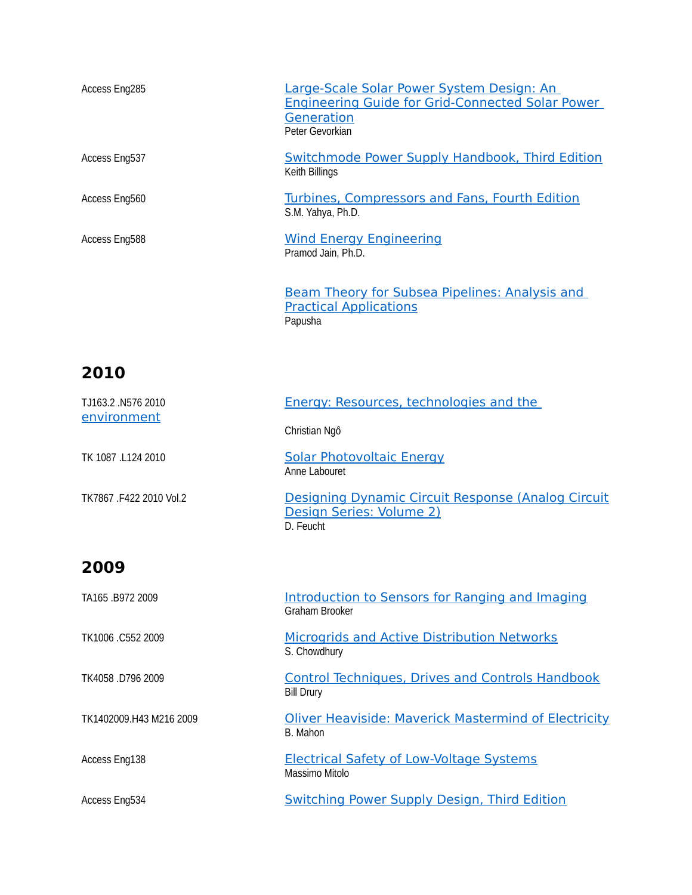| Access Eng285 | Large-Scale Solar Power System Design: An<br>Engineering Guide for Grid-Connected Solar Power<br>Generation<br>Peter Gevorkian |
|---------------|--------------------------------------------------------------------------------------------------------------------------------|
| Access Eng537 | <b>Switchmode Power Supply Handbook, Third Edition</b><br>Keith Billings                                                       |
| Access Eng560 | Turbines, Compressors and Fans, Fourth Edition<br>S.M. Yahya, Ph.D.                                                            |
| Access Eng588 | <b>Wind Energy Engineering</b><br>Pramod Jain, Ph.D.                                                                           |
|               | <b>Beam Theory for Subsea Pipelines: Analysis and</b><br><b>Practical Applications</b>                                         |

Papusha

**2010**

| TJ163.2 .N576 2010<br>environment | Energy: Resources, technologies and the                                                     |
|-----------------------------------|---------------------------------------------------------------------------------------------|
|                                   | Christian Ngô                                                                               |
| TK 1087 L124 2010                 | <b>Solar Photovoltaic Energy</b><br>Anne Labouret                                           |
| TK7867 F422 2010 Vol.2            | Designing Dynamic Circuit Response (Analog Circuit<br>Design Series: Volume 2)<br>D. Feucht |

| TA165 .B972 2009        | Introduction to Sensors for Ranging and Imaging<br>Graham Brooker            |
|-------------------------|------------------------------------------------------------------------------|
| TK1006 C552 2009        | <b>Microgrids and Active Distribution Networks</b><br>S. Chowdhury           |
| TK4058 D796 2009        | <b>Control Techniques, Drives and Controls Handbook</b><br><b>Bill Drury</b> |
| TK1402009.H43 M216 2009 | <b>Oliver Heaviside: Maverick Mastermind of Electricity</b><br>B. Mahon      |
| Access Eng138           | <b>Electrical Safety of Low-Voltage Systems</b><br>Massimo Mitolo            |
| Access Eng534           | <b>Switching Power Supply Design, Third Edition</b>                          |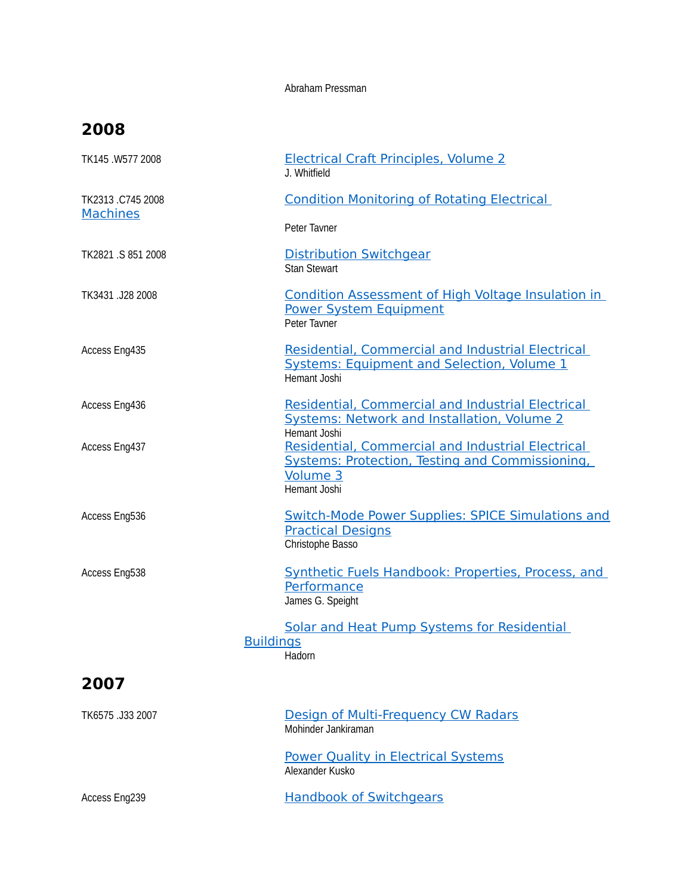Abraham Pressman

| TK145 .W577 2008                    | <b>Electrical Craft Principles, Volume 2</b><br>J. Whitfield                                                                                   |
|-------------------------------------|------------------------------------------------------------------------------------------------------------------------------------------------|
| TK2313.C745 2008<br><b>Machines</b> | <b>Condition Monitoring of Rotating Electrical</b>                                                                                             |
|                                     | Peter Tavner                                                                                                                                   |
| TK2821 .S 851 2008                  | <b>Distribution Switchgear</b><br><b>Stan Stewart</b>                                                                                          |
| TK3431, J28 2008                    | Condition Assessment of High Voltage Insulation in<br><b>Power System Equipment</b><br>Peter Tavner                                            |
| Access Eng435                       | <b>Residential, Commercial and Industrial Electrical</b><br><b>Systems: Equipment and Selection, Volume 1</b><br>Hemant Joshi                  |
| Access Eng436                       | <b>Residential, Commercial and Industrial Electrical</b><br><b>Systems: Network and Installation, Volume 2</b><br>Hemant Joshi                 |
| Access Eng437                       | <b>Residential, Commercial and Industrial Electrical</b><br>Systems: Protection, Testing and Commissioning,<br><b>Volume 3</b><br>Hemant Joshi |
| Access Eng536                       | <b>Switch-Mode Power Supplies: SPICE Simulations and</b><br><b>Practical Designs</b><br>Christophe Basso                                       |
| Access Eng538                       | Synthetic Fuels Handbook: Properties, Process, and<br>Performance<br>James G. Speight                                                          |
| <b>Buildings</b>                    | Solar and Heat Pump Systems for Residential<br>Hadorn                                                                                          |
| 2007                                |                                                                                                                                                |
| TK6575 .J33 2007                    | Design of Multi-Frequency CW Radars<br>Mohinder Jankiraman                                                                                     |
|                                     | <b>Power Quality in Electrical Systems</b><br>Alexander Kusko                                                                                  |
| Access Eng239                       | <b>Handbook of Switchgears</b>                                                                                                                 |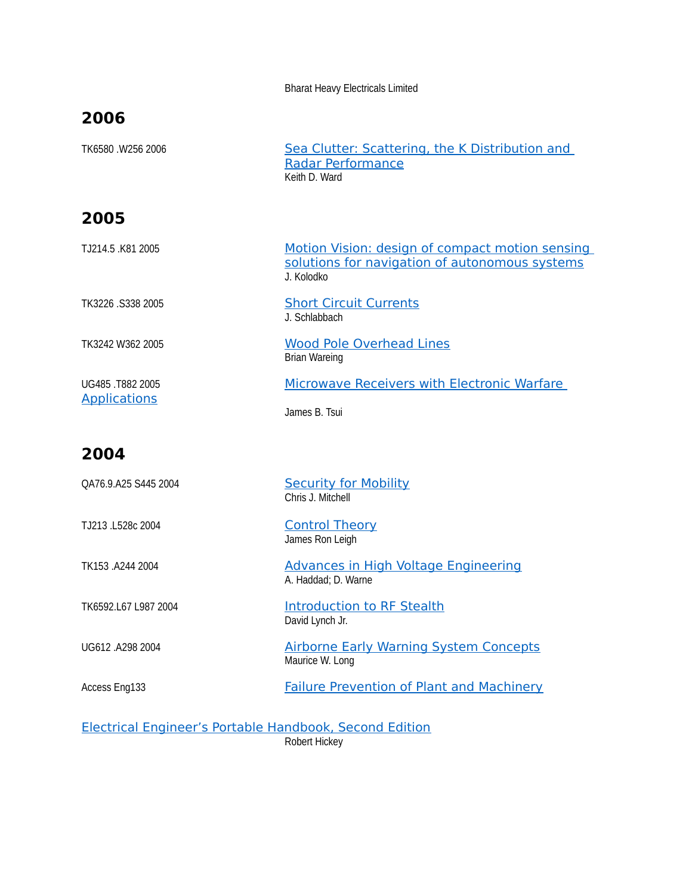Bharat Heavy Electricals Limited

| 2006                                                           |                                                                                                                 |
|----------------------------------------------------------------|-----------------------------------------------------------------------------------------------------------------|
| TK6580 W256 2006                                               | Sea Clutter: Scattering, the K Distribution and<br><b>Radar Performance</b><br>Keith D. Ward                    |
| 2005                                                           |                                                                                                                 |
| TJ214.5 .K81 2005                                              | Motion Vision: design of compact motion sensing<br>solutions for navigation of autonomous systems<br>J. Kolodko |
| TK3226 .S338 2005                                              | <b>Short Circuit Currents</b><br>J. Schlabbach                                                                  |
| TK3242 W362 2005                                               | <b>Wood Pole Overhead Lines</b><br><b>Brian Wareing</b>                                                         |
| UG485.T882 2005<br><b>Applications</b>                         | Microwave Receivers with Electronic Warfare<br>James B. Tsui                                                    |
| 2004                                                           |                                                                                                                 |
| QA76.9.A25 S445 2004                                           | <b>Security for Mobility</b><br>Chris J. Mitchell                                                               |
| TJ213 .L528c 2004                                              | <b>Control Theory</b><br>James Ron Leigh                                                                        |
| TK153 .A244 2004                                               | <b>Advances in High Voltage Engineering</b><br>A. Haddad; D. Warne                                              |
| TK6592.L67 L987 2004                                           | <b>Introduction to RF Stealth</b><br>David Lynch Jr.                                                            |
| UG612 .A298 2004                                               | <b>Airborne Early Warning System Concepts</b><br>Maurice W. Long                                                |
| Access Eng133                                                  | <b>Failure Prevention of Plant and Machinery</b>                                                                |
| <b>Electrical Engineer's Portable Handbook, Second Edition</b> |                                                                                                                 |

Robert Hickey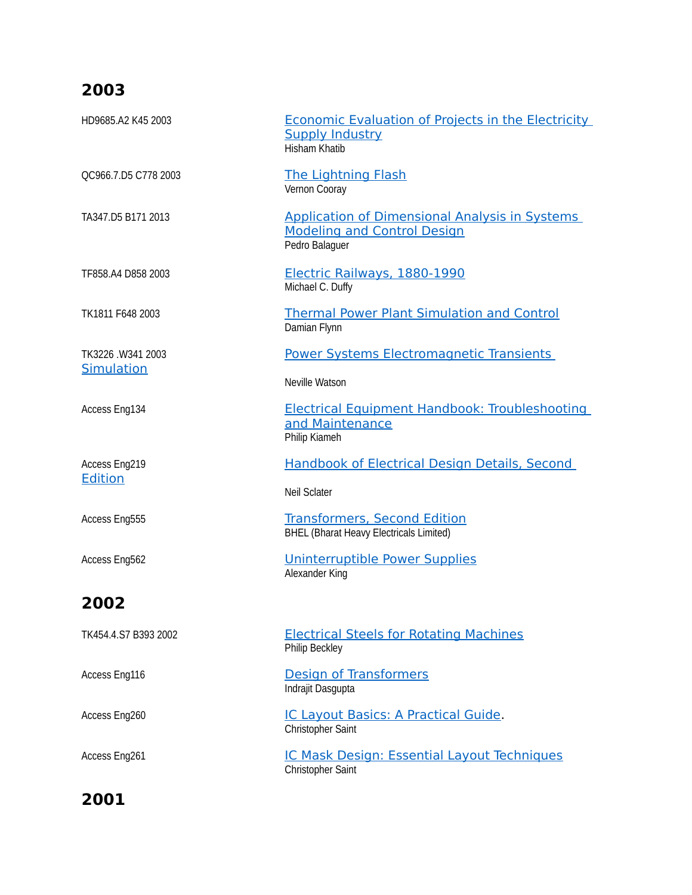| HD9685.A2 K45 2003                    | <b>Economic Evaluation of Projects in the Electricity</b><br><b>Supply Industry</b><br><b>Hisham Khatib</b>   |
|---------------------------------------|---------------------------------------------------------------------------------------------------------------|
| QC966.7.D5 C778 2003                  | <b>The Lightning Flash</b><br>Vernon Cooray                                                                   |
| TA347.D5 B171 2013                    | <b>Application of Dimensional Analysis in Systems</b><br><b>Modeling and Control Design</b><br>Pedro Balaguer |
| TF858.A4 D858 2003                    | Electric Railways, 1880-1990<br>Michael C. Duffy                                                              |
| TK1811 F648 2003                      | <b>Thermal Power Plant Simulation and Control</b><br>Damian Flynn                                             |
| TK3226.W341 2003<br><b>Simulation</b> | <b>Power Systems Electromagnetic Transients</b><br>Neville Watson                                             |
| Access Eng134                         | Electrical Equipment Handbook: Troubleshooting<br>and Maintenance<br>Philip Kiameh                            |
| Access Eng219<br><b>Edition</b>       | <b>Handbook of Electrical Design Details, Second</b><br><b>Neil Sclater</b>                                   |
| Access Eng555                         | <b>Transformers, Second Edition</b><br><b>BHEL (Bharat Heavy Electricals Limited)</b>                         |
| Access Eng562                         | Uninterruptible Power Supplies<br>Alexander King                                                              |
| 2002                                  |                                                                                                               |
| TK454.4.S7 B393 2002                  | <b>Electrical Steels for Rotating Machines</b><br>Philip Beckley                                              |
| Access Eng116                         | <b>Design of Transformers</b><br>Indrajit Dasgupta                                                            |
| Access Eng260                         | IC Layout Basics: A Practical Guide.<br><b>Christopher Saint</b>                                              |
| Access Eng261                         | IC Mask Design: Essential Layout Techniques<br>Christopher Saint                                              |
|                                       |                                                                                                               |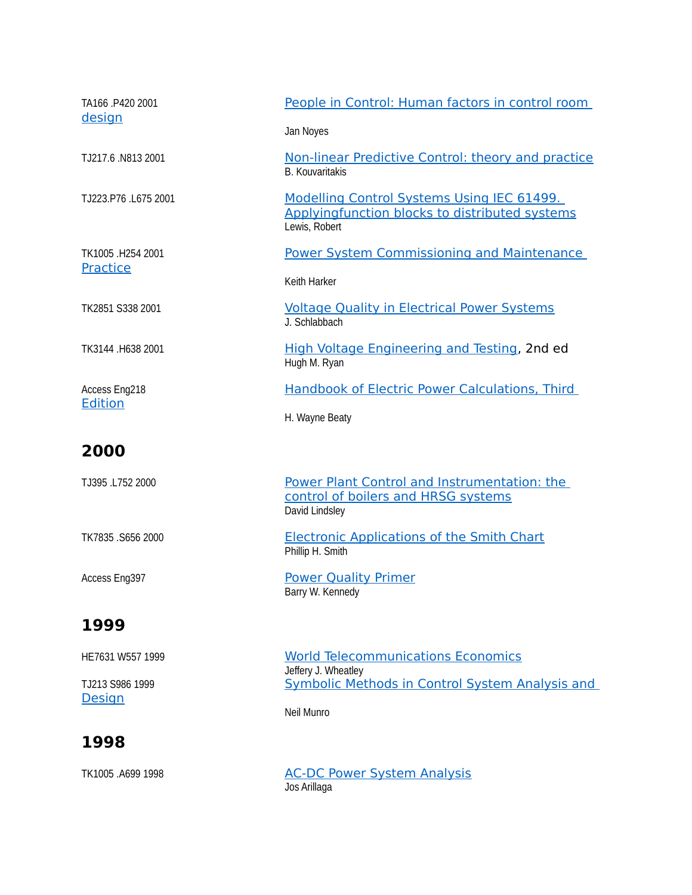| TA166 P420 2001<br><u>design</u> | People in Control: Human factors in control room                                                              |
|----------------------------------|---------------------------------------------------------------------------------------------------------------|
|                                  | Jan Noyes                                                                                                     |
| TJ217.6 .N813 2001               | Non-linear Predictive Control: theory and practice<br><b>B.</b> Kouvaritakis                                  |
| TJ223.P76 .L675 2001             | Modelling Control Systems Using IEC 61499.<br>Applyingfunction blocks to distributed systems<br>Lewis, Robert |
| TK1005 .H254 2001<br>Practice    | <b>Power System Commissioning and Maintenance</b>                                                             |
|                                  | Keith Harker                                                                                                  |
| TK2851 S338 2001                 | <b>Voltage Quality in Electrical Power Systems</b><br>J. Schlabbach                                           |
| TK3144 .H638 2001                | High Voltage Engineering and Testing, 2nd ed<br>Hugh M. Ryan                                                  |
| Access Eng218<br><b>Edition</b>  | Handbook of Electric Power Calculations, Third                                                                |
|                                  | H. Wayne Beaty                                                                                                |
| 2000                             |                                                                                                               |
| TJ395 .L752 2000                 | Power Plant Control and Instrumentation: the<br>control of boilers and HRSG systems<br>David Lindsley         |
| TK7835.S656 2000                 | <b>Electronic Applications of the Smith Chart</b><br>Phillip H. Smith                                         |
| Access Eng397                    | <b>Power Quality Primer</b><br>Barry W. Kennedy                                                               |
| 1999                             |                                                                                                               |
| HE7631 W557 1999                 | <b>World Telecommunications Economics</b><br>Jeffery J. Wheatley                                              |
| TJ213 S986 1999<br><b>Design</b> | <b>Symbolic Methods in Control System Analysis and</b>                                                        |
|                                  | Neil Munro                                                                                                    |
| 1998                             |                                                                                                               |

TK1005 .A699 1998 [AC-DC Power System Analysis](http://ls.mapua.edu.ph:8082/LS2Staff/) Jos Arillaga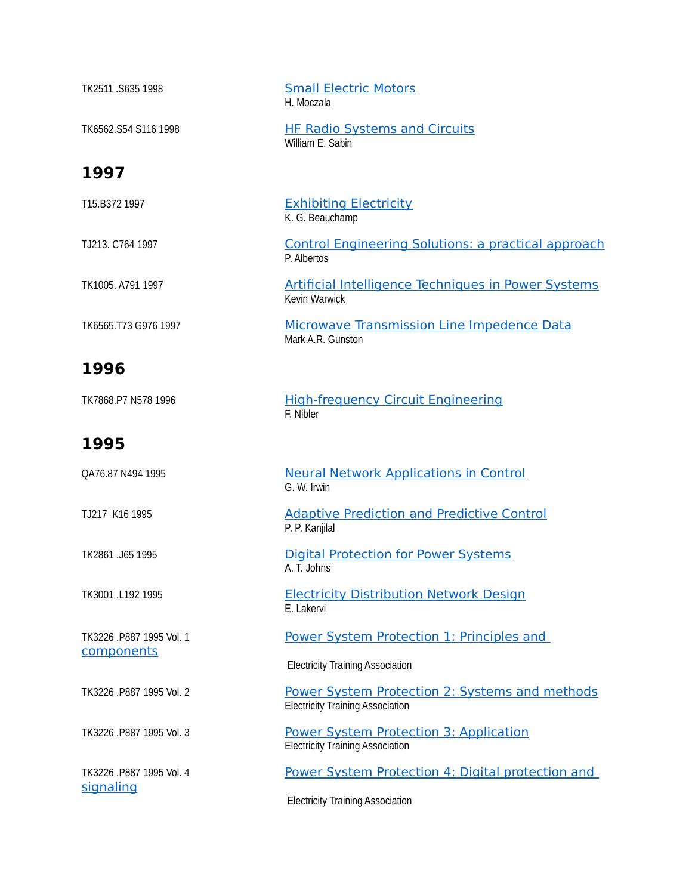| TK2511 .S635 1998                     | <b>Small Electric Motors</b><br>H. Moczala                                                |
|---------------------------------------|-------------------------------------------------------------------------------------------|
| TK6562.S54 S116 1998                  | <b>HF Radio Systems and Circuits</b><br>William E. Sabin                                  |
| 1997                                  |                                                                                           |
| T15.B372 1997                         | <b>Exhibiting Electricity</b><br>K. G. Beauchamp                                          |
| TJ213. C764 1997                      | <b>Control Engineering Solutions: a practical approach</b><br>P. Albertos                 |
| TK1005. A791 1997                     | <b>Artificial Intelligence Techniques in Power Systems</b><br><b>Kevin Warwick</b>        |
| TK6565.T73 G976 1997                  | Microwave Transmission Line Impedence Data<br>Mark A.R. Gunston                           |
| 1996                                  |                                                                                           |
| TK7868.P7 N578 1996                   | <b>High-frequency Circuit Engineering</b><br>F. Nibler                                    |
| 1995                                  |                                                                                           |
| QA76.87 N494 1995                     | <b>Neural Network Applications in Control</b><br>G. W. Irwin                              |
| TJ217 K16 1995                        | <b>Adaptive Prediction and Predictive Control</b><br>P. P. Kanjilal                       |
| TK2861.J65 1995                       | <b>Digital Protection for Power Systems</b><br>A. T. Johns                                |
| TK3001 .L192 1995                     | <b>Electricity Distribution Network Design</b><br>E. Lakervi                              |
| TK3226 P887 1995 Vol. 1<br>components | Power System Protection 1: Principles and                                                 |
|                                       | <b>Electricity Training Association</b>                                                   |
| TK3226 P887 1995 Vol. 2               | Power System Protection 2: Systems and methods<br><b>Electricity Training Association</b> |
| TK3226 P887 1995 Vol. 3               | <b>Power System Protection 3: Application</b><br><b>Electricity Training Association</b>  |
| TK3226 P887 1995 Vol. 4<br>signaling  | Power System Protection 4: Digital protection and                                         |
|                                       | <b>Electricity Training Association</b>                                                   |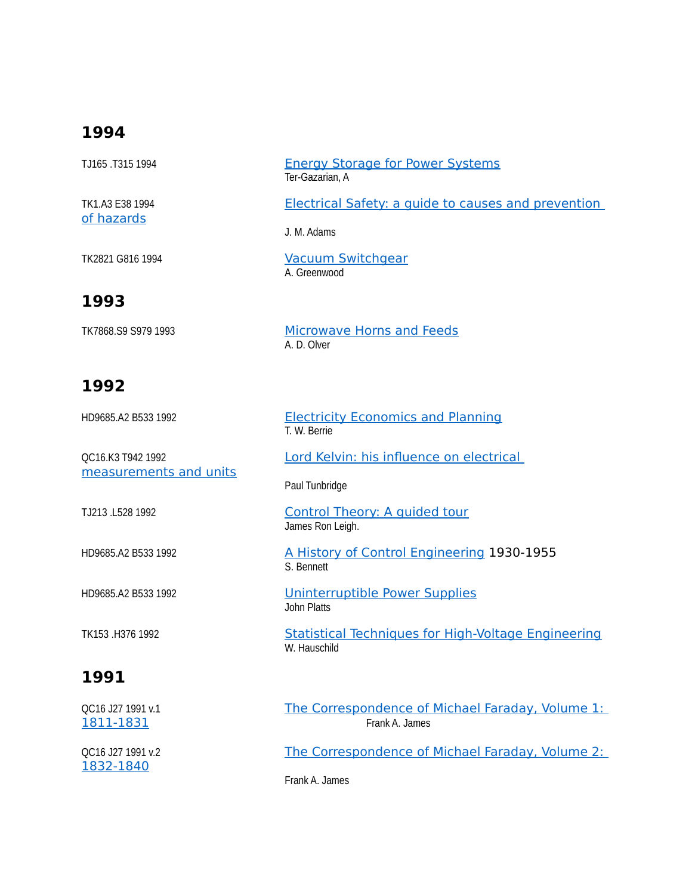| <b>Energy Storage for Power Systems</b><br>Ter-Gazarian, A |
|------------------------------------------------------------|
| <b>Electrical Safety: a guide to causes and prevention</b> |
| J. M. Adams                                                |
| <b>Vacuum Switchgear</b><br>A. Greenwood                   |
|                                                            |
| <b>Microwave Horns and Feeds</b><br>A. D. Olver            |
|                                                            |

### **1992**

| HD9685.A2 B533 1992                         | <b>Electricity Economics and Planning</b><br>T. W. Berrie                  |
|---------------------------------------------|----------------------------------------------------------------------------|
| QC16.K3 T942 1992<br>measurements and units | Lord Kelvin: his influence on electrical                                   |
|                                             | Paul Tunbridge                                                             |
| TJ213 L528 1992                             | <b>Control Theory: A quided tour</b><br>James Ron Leigh.                   |
| HD9685.A2 B533 1992                         | A History of Control Engineering 1930-1955<br>S. Bennett                   |
| HD9685.A2 B533 1992                         | Uninterruptible Power Supplies<br>John Platts                              |
| TK153 H376 1992                             | <b>Statistical Techniques for High-Voltage Engineering</b><br>W. Hauschild |
| 1991                                        |                                                                            |
| QC16 J27 1991 v.1<br>1811-1831              | The Correspondence of Michael Faraday, Volume 1:<br>Frank A. James         |
| QC16 J27 1991 v.2                           | The Correspondence of Michael Faraday, Volume 2:                           |

[1832-1840](http://ls.mapua.edu.ph:8082/LS2Staff/)

Frank A. James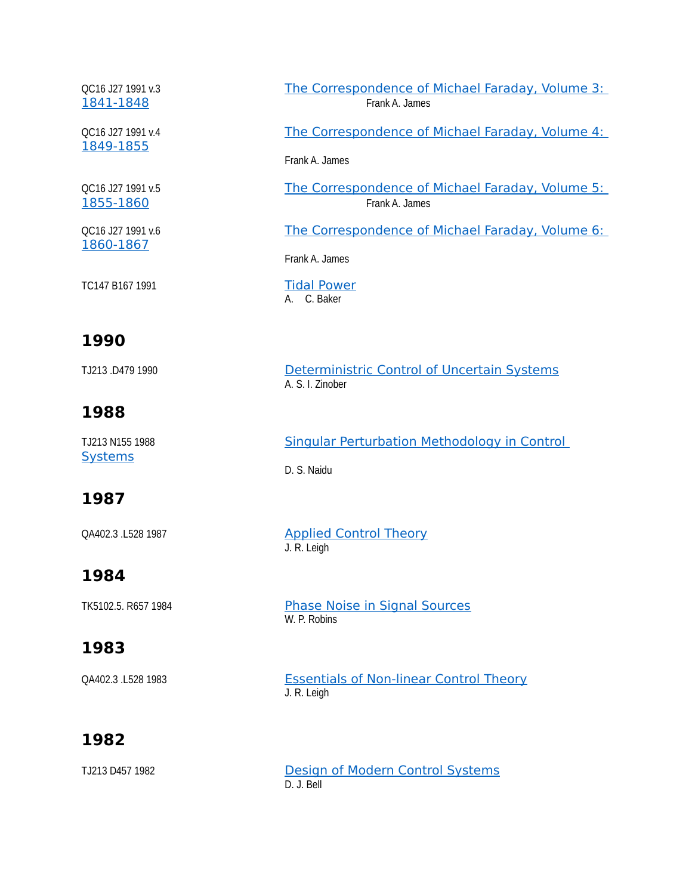| QC16 J27 1991 v.3<br>1841-1848    | The Correspondence of Michael Faraday, Volume 3:<br>Frank A. James     |
|-----------------------------------|------------------------------------------------------------------------|
| QC16 J27 1991 v.4<br>1849-1855    | The Correspondence of Michael Faraday, Volume 4:                       |
|                                   | Frank A. James                                                         |
| QC16 J27 1991 v.5<br>1855-1860    | The Correspondence of Michael Faraday, Volume 5:<br>Frank A. James     |
| QC16 J27 1991 v.6<br>1860-1867    | The Correspondence of Michael Faraday, Volume 6:                       |
|                                   | Frank A. James                                                         |
| TC147 B167 1991                   | <b>Tidal Power</b><br>A. C. Baker                                      |
| 1990                              |                                                                        |
| TJ213 .D479 1990                  | <b>Deterministric Control of Uncertain Systems</b><br>A. S. I. Zinober |
| 1988                              |                                                                        |
| TJ213 N155 1988<br><b>Systems</b> | <b>Singular Perturbation Methodology in Control</b>                    |
|                                   | D. S. Naidu                                                            |
| 1987                              |                                                                        |
| QA402.3 .L528 1987                | <b>Applied Control Theory</b><br>J. R. Leigh                           |
| 1984                              |                                                                        |
| TK5102.5. R657 1984               | <b>Phase Noise in Signal Sources</b><br>W. P. Robins                   |
| 1983                              |                                                                        |
| QA402.3 .L528 1983                | <b>Essentials of Non-linear Control Theory</b><br>J. R. Leigh          |
| 1982                              |                                                                        |
| TJ213 D457 1982                   | Design of Modern Control Systems<br>D. J. Bell                         |